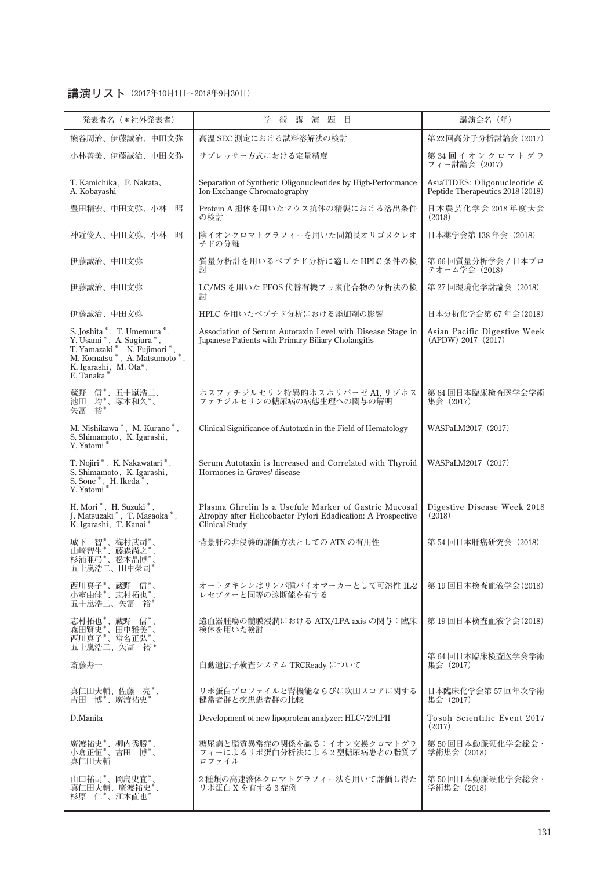## **講演リスト(2017年10月1日〜2018年9月30日)**

| 発表者名 (*社外発表者)                                                                                                                                                      | 講<br>演題目<br>学<br>術                                                                                                                             | 講演会名 (年)                                                         |
|--------------------------------------------------------------------------------------------------------------------------------------------------------------------|------------------------------------------------------------------------------------------------------------------------------------------------|------------------------------------------------------------------|
| 熊谷周治、伊藤誠治、中田文弥                                                                                                                                                     | 高温 SEC 測定における試料溶解法の検討                                                                                                                          | 第22回高分子分析討論会 (2017)                                              |
| 小林善美、伊藤誠治、中田文弥                                                                                                                                                     | サプレッサー方式における定量精度                                                                                                                               | 第34回イオンクロマトグラ<br>フィー討論会 (2017)                                   |
| T. Kamichika, F. Nakata,<br>A. Kobayashi                                                                                                                           | Separation of Synthetic Oligonucleotides by High-Performance<br>Ion-Exchange Chromatography                                                    | AsiaTIDES: Oligonucleotide &<br>Peptide Therapeutics 2018 (2018) |
| 豊田精宏、中田文弥、小林<br>昭                                                                                                                                                  | Protein A 担体を用いたマウス抗体の精製における溶出条件<br>の検討                                                                                                        | 日本農芸化学会 2018年度大会<br>(2018)                                       |
| 神近俊人、中田文弥、小林 昭                                                                                                                                                     | 陰イオンクロマトグラフィーを用いた同鎖長オリゴヌクレオ<br>チドの分離                                                                                                           | 日本薬学会第 138 年会(2018)                                              |
| 伊藤誠治、中田文弥                                                                                                                                                          | 質量分析計を用いるペプチド分析に適した HPLC 条件の検<br>討                                                                                                             | 第66回質量分析学会 / 日本プロ<br>テオーム学会 (2018)                               |
| 伊藤誠治、中田文弥                                                                                                                                                          | LC/MSを用いた PFOS代替有機フッ素化合物の分析法の検<br>討                                                                                                            | 第 27 回環境化学討論会(2018)                                              |
| 伊藤誠治、中田文弥                                                                                                                                                          | HPLC を用いたペプチド分析における添加剤の影響                                                                                                                      | 日本分析化学会第 67年会 (2018)                                             |
| S. Joshita *, T. Umemura *,<br>S. Joshua *, A. Sugiura *,<br>T. Yamazaki *, N. Fujimori *,<br>M. Komatsu *, A. Matsumoto *,<br>K. Igarashi, M. Ota*,<br>E. Tanaka* | Association of Serum Autotaxin Level with Disease Stage in<br>Japanese Patients with Primary Biliary Cholangitis                               | Asian Pacific Digestive Week<br>(APDW) 2017 (2017)               |
| 蔵野 信*、五十嵐浩二、<br>池田 均*、塚本和久*、<br>矢冨 裕*                                                                                                                              | ホスファチジルセリン特異的ホスホリパーゼ A1, リゾホス<br>ファチジルセリンの糖尿病の病態生理への関与の解明                                                                                      | 第64回日本臨床検査医学会学術<br>集会 (2017)                                     |
| M. Nishikawa*, M. Kurano*,<br>S. Shimamoto , K. Igarashi , Y. Yatomi *                                                                                             | Clinical Significance of Autotaxin in the Field of Hematology                                                                                  | WASPaLM2017 (2017)                                               |
| T. Nojiri *, K. Nakawatari *,<br>S. Shimamoto, K. Igarashi,<br>S. Sone *, H. Ikeda *,<br>Y. Yatomi *                                                               | Serum Autotaxin is Increased and Correlated with Thyroid<br>Hormones in Graves' disease                                                        | WASPaLM2017 (2017)                                               |
| H. Mori*, H. Suzuki*,<br>J. Matsuzaki*, T. Masaoka*,<br>K. Igarashi, T. Kanai*                                                                                     | Plasma Ghrelin Is a Usefule Marker of Gastric Mucosal<br>Atrophy after Helicobacter Pylori Edadication: A Prospective<br><b>Clinical Study</b> | Digestive Disease Week 2018<br>(2018)                            |
| 智*、梅村武司*、<br>城下<br>山崎智生*、藤森尚之<br>杉浦亜弓*、松本晶博*<br>五十嵐浩二、田中榮司                                                                                                         | 背景肝の非侵襲的評価方法としての ATX の有用性                                                                                                                      | 第 54 回日本肝癌研究会 (2018)                                             |
| 西川真子*、蔵野 信*、<br>小室由佳*、志村拓也*、<br>五十嵐浩二、矢冨 裕*                                                                                                                        | オートタキシンはリンパ腫バイオマーカーとして可溶性 IL-2<br>レセプターと同等の診断能を有する                                                                                             | 第 19 回日本検査血液学会(2018)                                             |
| 志村拓也*、蔵野 信*、<br>森田賢史*、田中雅美*、<br>西川真子*、常名正弘*、<br>五十嵐浩二、矢冨 裕*                                                                                                        | 造血器腫瘍の髄膜浸潤における ATX/LPA axis の関与:臨床<br>検体を用いた検討                                                                                                 | 第19回日本検査血液学会(2018)                                               |
| 斎藤寿一                                                                                                                                                               | 自動遺伝子検査システム TRCReady について                                                                                                                      | 第 64 回日本臨床検査医学会学術<br>集会 (2017)                                   |
| 真仁田大輔、佐藤 亮*、<br>吉田 博*、廣渡祐史*                                                                                                                                        | リポ蛋白プロファイルと腎機能ならびに吹田スコアに関する<br>健常者群と疾患患者群の比較                                                                                                   | 日本臨床化学会第 57 回年次学術<br>集会(2017)                                    |
| D.Manita                                                                                                                                                           | Development of new lipoprotein analyzer: HLC-729LPII                                                                                           | Tosoh Scientific Event 2017<br>(2017)                            |
| 廣渡祐史*、柳内秀勝*、<br>小倉正恒*、吉田 博*、<br>真仁田天輔                                                                                                                              | 糖尿病と脂質異常症の関係を識る:イオン交換クロマトグラ<br>フィーによるリポ蛋白分析法による2型糖尿病患者の脂質プ<br>ロファイル                                                                            | 第 50 回日本動脈硬化学会総会・<br>学術集会(2018)                                  |
| 山口祐司*、岡島史宜*<br>真仁田大輔、廣渡祐史*、<br>杉原 仁*、江本直也*                                                                                                                         | 2種類の高速液体クロマトグラフィー法を用いて評価し得た<br>リポ蛋白 X を有する3症例                                                                                                  | 第 50 回日本動脈硬化学会総会・<br>学術集会(2018)                                  |
|                                                                                                                                                                    |                                                                                                                                                |                                                                  |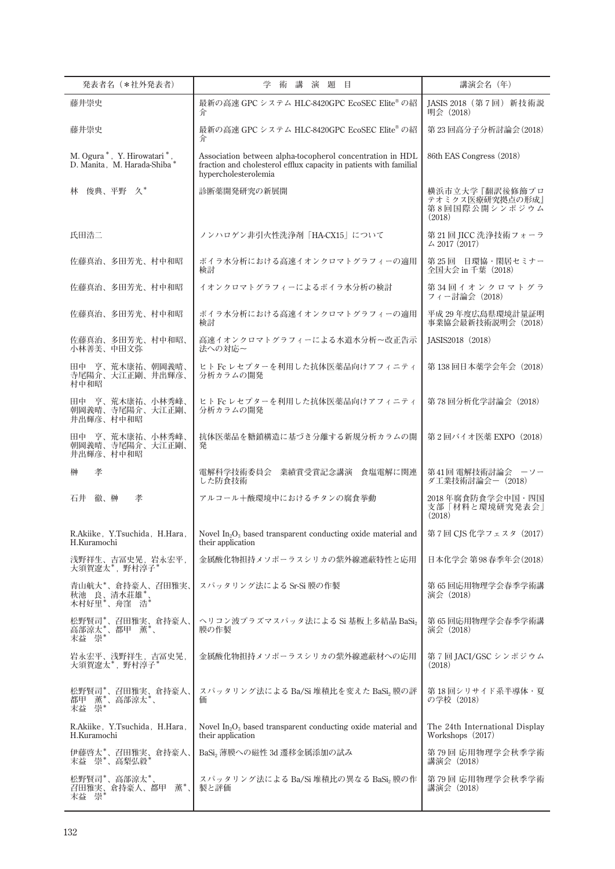| 発表者名 (*社外発表者)                                               | 講<br>演題目<br>学<br>術                                                                                                                                      | 講演会名 (年)                                                     |
|-------------------------------------------------------------|---------------------------------------------------------------------------------------------------------------------------------------------------------|--------------------------------------------------------------|
| 藤井崇史                                                        | 最新の高速 GPC システム HLC-8420GPC EcoSEC Elite® の紹<br>介                                                                                                        | JASIS 2018 (第7回) 新技術説<br>明会 (2018)                           |
| 藤井崇史                                                        | 最新の高速 GPC システム HLC-8420GPC EcoSEC Elite® の紹<br>介                                                                                                        | 第23回高分子分析討論会(2018)                                           |
| M. Ogura *, Y. Hirowatari *,<br>D. Manita, M. Harada-Shiba* | Association between alpha-tocopherol concentration in HDL<br>fraction and cholesterol efflux capacity in patients with familial<br>hypercholesterolemia | 86th EAS Congress (2018)                                     |
| 俊典、平野 久*<br>林                                               | 診断薬開発研究の新展開                                                                                                                                             | 横浜市立大学『翻訳後修飾プロ<br>テオミクス医療研究拠点の形成』<br>第8回国際公開シンポジウム<br>(2018) |
| 氏田浩二                                                        | ノンハロゲン非引火性洗浄剤「HA-CX15」について                                                                                                                              | 第21回 JICC 洗浄技術フォーラ<br>$\angle 2017(2017)$                    |
| 佐藤真治、多田芳光、村中和昭                                              | ボイラ水分析における高速イオンクロマトグラフィーの適用<br>検討                                                                                                                       | 第 25 回 日環協・閑居セミナー<br>全国大会 in 千葉 (2018)                       |
| 佐藤真治、多田芳光、村中和昭                                              | イオンクロマトグラフィーによるボイラ水分析の検討                                                                                                                                | 第34回イオンクロマトグラ<br>フィー討論会 (2018)                               |
| 佐藤真治、多田芳光、村中和昭                                              | ボイラ水分析における高速イオンクロマトグラフィーの適用<br>検討                                                                                                                       | 平成 29年度広島県環境計量証明<br>事業協会最新技術説明会 (2018)                       |
| 佐藤真治、多田芳光、村中和昭、<br>小林善美、中田文弥                                | 高速イオンクロマトグラフィーによる水道水分析~改正告示<br>法への対応~                                                                                                                   | JASIS2018 (2018)                                             |
| 田中 亨、荒木康祐、朝岡義晴、<br>寺尾陽介、大江正剛、井出輝彦、<br>村中和昭                  | ヒト Fc レセプターを利用した抗体医薬品向けアフィニティ<br>分析カラムの開発                                                                                                               | 第138 回日本薬学会年会 (2018)                                         |
| 田中 亨、荒木康祐、小林秀峰、<br>朝岡義晴、寺尾陽介、大江正剛、<br>井出輝彦、村中和昭             | ヒト Fc レセプターを利用した抗体医薬品向けアフィニティ<br>分析カラムの開発                                                                                                               | 第78回分析化学討論会 (2018)                                           |
| 田中 亨、荒木康祐、小林秀峰、<br>朝岡義晴、寺尾陽介、大江正剛、<br>井出輝彦、村中和昭             | 抗体医薬品を糖鎖構造に基づき分離する新規分析カラムの開<br>発                                                                                                                        | 第2回バイオ医薬 EXPO (2018)                                         |
| 榊<br>孝                                                      | 電解科学技術委員会 業績賞受賞記念講演<br>食塩電解に関連<br>した防食技術                                                                                                                | 第41回 電解技術討論会 ーソー<br>ダ工業技術討論会-(2018)                          |
| 徹、榊<br>孝<br>石井                                              | アルコール十酸環境中におけるチタンの腐食挙動                                                                                                                                  | 2018年腐食防食学会中国・四国<br>支部「材料と環境研究発表会」<br>(2018)                 |
| R.Akiike, Y.Tsuchida, H.Hara,<br>H.Kuramochi                | Novel $In_2O_3$ based transparent conducting oxide material and<br>their application                                                                    | 第7回 CIS 化学フェスタ (2017)                                        |
| 浅野祥生、吉冨史晃,岩永宏平,<br>大須賀遼太*,野村淳子*                             | 金属酸化物担持メソポーラスシリカの紫外線遮蔽特性と応用                                                                                                                             | 日本化学会 第98春季年会(2018)                                          |
| 青山航大*、倉持豪人、召田雅実、<br>秋池 良、清水荘雄*、<br>木村好里*、舟窪 浩*              | スパッタリング法による Sr-Si 膜の作製                                                                                                                                  | 第 65 回応用物理学会春季学術講<br>演会 (2018)                               |
| 松野賢司*、召田雅実、倉持豪人、<br>高部涼太*、都甲 薫*、<br>末益 崇*                   | ヘリコン波プラズマスパッタ法による Si 基板上多結晶 BaSi2<br>膜の作製                                                                                                               | 第 65 回応用物理学会春季学術講<br>演会 (2018)                               |
| 岩永宏平、浅野祥生, 吉冨史晃,<br>大須賀遼太*, 野村淳子*                           | 金属酸化物担持メソポーラスシリカの紫外線遮蔽材への応用                                                                                                                             | 第7回 JACI/GSC シンポジウム<br>(2018)                                |
| 松野賢司*、召田雅実、倉持豪人、<br>都甲 薫*、高部涼太*、<br>末益<br>崇*                | スパッタリング法による Ba/Si 堆積比を変えた BaSi2 膜の評<br>価                                                                                                                | 第 18 回シリサイド系半導体・夏<br>の学校 (2018)                              |
| R.Akiike, Y.Tsuchida, H.Hara,<br>H.Kuramochi                | Novel $In_2O_3$ based transparent conducting oxide material and<br>their application                                                                    | The 24th International Display<br>Workshops (2017)           |
| 伊藤啓太*、召田雅実、倉持豪人、<br>末益 崇*、高梨弘毅*                             | BaSi <sub>2</sub> 薄膜への磁性 3d 遷移金属添加の試み                                                                                                                   | 第 79 回 応用物理学会秋季学術<br>講演会 (2018)                              |
| 松野賢司*、高部涼太*、<br>薫*、<br>召田雅実、倉持豪人、都甲<br>" 崇*<br>末益           | スパッタリング法による Ba/Si 堆積比の異なる BaSi2 膜の作<br>製と評価                                                                                                             | 第79回 応用物理学会秋季学術<br>講演会 (2018)                                |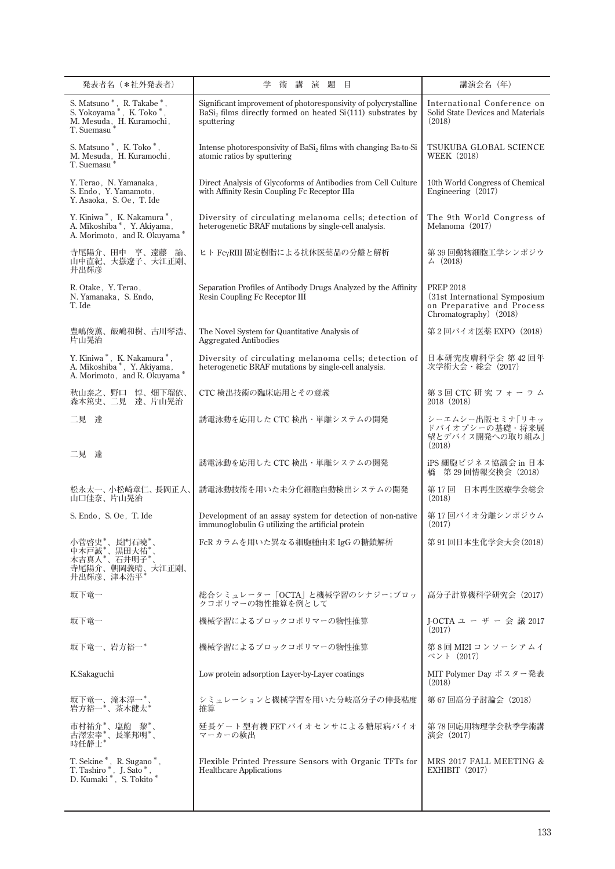| 発表者名 (*社外発表者)                                                                                                                                                                                | 学<br>講<br>演 題<br>目<br>術                                                                                                                                  | 講演会名 (年)                                                                                                  |
|----------------------------------------------------------------------------------------------------------------------------------------------------------------------------------------------|----------------------------------------------------------------------------------------------------------------------------------------------------------|-----------------------------------------------------------------------------------------------------------|
| ${\rm S.\ Mat{\small\bf suno\,}}^*,\ {\rm R.\ Takabe\,}^*,\ {\rm S.\ Yokoyama\,}^*,\ {\rm K.\ Toko\,}^*,$<br>M. Mesuda, H. Kuramochi,                                                        | Significant improvement of photoresponsivity of polycrystalline<br>BaSi <sub>2</sub> films directly formed on heated Si(111) substrates by<br>sputtering | International Conference on<br>Solid State Devices and Materials<br>(2018)                                |
| S. Matsuno*, K. Toko*,<br>$\,$ M. Mesuda $\,$ H. Kuramochi , $\,$ T. Suemasu $^*$                                                                                                            | Intense photoresponsivity of BaSi <sub>2</sub> films with changing Ba-to-Si<br>atomic ratios by sputtering                                               | TSUKUBA GLOBAL SCIENCE<br><b>WEEK</b> (2018)                                                              |
| Y. Terao, N. Yamanaka,<br>S. Endo, Y. Yamamoto,<br>Y. Asaoka, S. Oe, T. Ide                                                                                                                  | Direct Analysis of Glycoforms of Antibodies from Cell Culture<br>with Affinity Resin Coupling Fc Receptor IIIa                                           | 10th World Congress of Chemical<br>Engineering $(2017)$                                                   |
| Y. Kiniwa*, K. Nakamura*,<br>A. Mikoshiba *, Y. Akiyama,<br>A. Morimoto, and R. Okuyama*                                                                                                     | Diversity of circulating melanoma cells; detection of<br>heterogenetic BRAF mutations by single-cell analysis.                                           | The 9th World Congress of<br>Melanoma (2017)                                                              |
| 寺尾陽介、田中 亨、遠藤 諭、<br>山中直紀、大嶽遼子、大江正剛、<br>井出輝彦                                                                                                                                                   | ヒト FcyRIII 固定樹脂による抗体医薬品の分離と解析                                                                                                                            | 第39回動物細胞工学シンポジウ<br>$\angle$ (2018)                                                                        |
| R. Otake, Y. Terao,<br>N. Yamanaka, S. Endo,<br>T. Ide                                                                                                                                       | Separation Profiles of Antibody Drugs Analyzed by the Affinity<br>Resin Coupling Fc Receptor III                                                         | <b>PREP 2018</b><br>(31st International Symposium<br>on Preparative and Process<br>Chromatography) (2018) |
| 豊嶋俊薫、飯嶋和樹、古川琴浩、<br>片山晃治                                                                                                                                                                      | The Novel System for Quantitative Analysis of<br><b>Aggregated Antibodies</b>                                                                            | 第2回バイオ医薬 EXPO(2018)                                                                                       |
| Y. Kiniwa*, K. Nakamura*,<br>A. Mikoshiba*, Y. Akiyama,<br>A. Morimoto, and R. Okuyama*                                                                                                      | Diversity of circulating melanoma cells; detection of<br>heterogenetic BRAF mutations by single-cell analysis.                                           | 日本研究皮膚科学会 第42回年<br>次学術大会・総会 (2017)                                                                        |
| 秋山泰之、野口 惇、畑下瑠依、<br>森本篤史、二見 達、片山晃治                                                                                                                                                            | CTC 検出技術の臨床応用とその意義                                                                                                                                       | 第3回 CTC 研究フォーラム<br>2018 (2018)                                                                            |
| 二見 達                                                                                                                                                                                         | 誘電泳動を応用した CTC 検出・単離システムの開発                                                                                                                               | シーエムシー出版セミナ「リキッ<br>ドバイオプシーの基礎・将来展<br>望とデバイス開発への取り組み <br>(2018)                                            |
| 二見 達                                                                                                                                                                                         | 誘電泳動を応用した CTC 検出・単離システムの開発                                                                                                                               | iPS 細胞ビジネス協議会 in 日本<br>第 29 回情報交換会(2018)<br>橋                                                             |
| 松永太一、小松崎章仁、長岡正人、<br>山口佳奈、片山晃治                                                                                                                                                                | 誘電泳動技術を用いた未分化細胞自動検出システムの開発                                                                                                                               | 日本再生医療学会総会<br>第 17 回<br>(2018)                                                                            |
| S. Endo, S. Oe, T. Ide                                                                                                                                                                       | Development of an assay system for detection of non-native<br>immunoglobulin G utilizing the artificial protein                                          | 第 17 回バイオ分離シンポジウム<br>(2017)                                                                               |
| 小菅啓史*、長門石曉*<br>,<br>中木戸誠*、黒田大祐*、<br>木吉真人*、石井明子*、<br>寺尾陽介、朝岡義晴、大江正剛、<br>井出輝彦、津本浩平*                                                                                                            | FcR カラムを用いた異なる細胞種由来 IgG の糖鎖解析                                                                                                                            | 第 91 回日本生化学会大会 (2018)                                                                                     |
| 坂下竜一                                                                                                                                                                                         | 総合シミュレーター「OCTA」と機械学習のシナジー;ブロッ<br>クコポリマーの物性推算を例として                                                                                                        | 高分子計算機科学研究会(2017)                                                                                         |
| 坂下竜一                                                                                                                                                                                         | 機械学習によるブロックコポリマーの物性推算                                                                                                                                    | J-OCTA ユ ー ザ ー 会 議 2017<br>(2017)                                                                         |
| 坂下竜一、岩方裕一*                                                                                                                                                                                   | 機械学習によるブロックコポリマーの物性推算                                                                                                                                    | 第 8 回 MI2I コンソーシアムイ<br>ベント(2017)                                                                          |
| K.Sakaguchi                                                                                                                                                                                  | Low protein adsorption Layer-by-Layer coatings                                                                                                           | MIT Polymer Day ポスター発表<br>(2018)                                                                          |
| 坂下竜一、滝本淳一*、<br>岩方裕一*、茶木健太*                                                                                                                                                                   | シミュレーションと機械学習を用いた分岐高分子の伸長粘度<br>推算                                                                                                                        | 第 67 回高分子討論会 (2018)                                                                                       |
| 市村祐介*、塩飽 黎*、<br>古澤宏幸*、長峯邦明*、<br>時任静士*                                                                                                                                                        | 延長ゲート型有機 FET バイオセンサによる糖尿病バイオ<br>マーカーの検出                                                                                                                  | 第 78 回応用物理学会秋季学術講<br>演会 (2017)                                                                            |
| $\begin{array}{ll} \text{T. Sekine}^{\ast}, \text{ R. Sugano}^{\ast}, \\ \text{T. Tashiro}^{\ast}, \text{ J. Sato}^{\ast}, \\ \text{D. Kumaki}^{\ast}, \text{ S. Tokito}^{\ast} \end{array}$ | Flexible Printed Pressure Sensors with Organic TFTs for<br><b>Healthcare Applications</b>                                                                | MRS 2017 FALL MEETING &<br>EXHIBIT $(2017)$                                                               |
|                                                                                                                                                                                              |                                                                                                                                                          |                                                                                                           |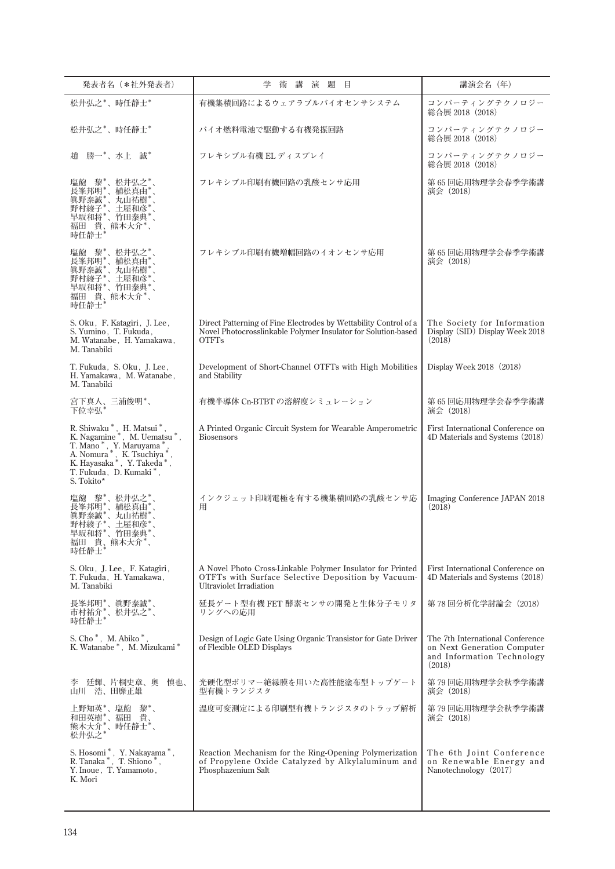| 発表者名 (*社外発表者)                                                                                                                                                                                                     | 講<br>演題目<br>術                                                                                                                                      | 講演会名 (年)                                                                                                |
|-------------------------------------------------------------------------------------------------------------------------------------------------------------------------------------------------------------------|----------------------------------------------------------------------------------------------------------------------------------------------------|---------------------------------------------------------------------------------------------------------|
| 松井弘之*、時任静士*                                                                                                                                                                                                       | 有機集積回路によるウェアラブルバイオセンサシステム                                                                                                                          | コンバーティングテクノロジー<br>総合展 2018 (2018)                                                                       |
| 松井弘之*、時任静士*                                                                                                                                                                                                       | バイオ燃料電池で駆動する有機発振回路                                                                                                                                 | コンバーティングテクノロジー<br>総合展 2018(2018)                                                                        |
| 勝一*、水上 誠*<br>趙                                                                                                                                                                                                    | フレキシブル有機 EL ディスプレイ                                                                                                                                 | コンバーティングテクノロジー<br>総合展 2018(2018)                                                                        |
| 黎*'、松井弘之<br>塩飽<br>長峯邦明*<br>植松真由<br>真野泰誠*、丸山祐樹<br>野村綾子*、土屋和彦*、<br>早坂和将*、竹田泰典*、<br>福田 貴、熊木大介*、<br>時任静士                                                                                                              | フレキシブル印刷有機回路の乳酸センサ応用                                                                                                                               | 第 65 回応用物理学会春季学術講<br>演会 (2018)                                                                          |
| 塩飽 黎*、松井弘之<br>長峯邦明*、植松真由*<br>眞野泰誠*、丸山祐樹*<br>野村綾子*、土屋和彦*<br>早坂和将*、竹田泰典*、<br>福田 貴、熊木大介*、<br>時任静士*                                                                                                                   | フレキシブル印刷有機増幅回路のイオンセンサ応用                                                                                                                            | 第65回応用物理学会春季学術講<br>演会 (2018)                                                                            |
| S. Oku, F. Katagiri, J. Lee,<br>S. Yumino, T. Fukuda,<br>M. Watanabe, H. Yamakawa,<br>M. Tanabiki                                                                                                                 | Direct Patterning of Fine Electrodes by Wettability Control of a<br>Novel Photocrosslinkable Polymer Insulator for Solution-based<br><b>OTFTs</b>  | The Society for Information<br>Display (SID) Display Week 2018<br>(2018)                                |
| T. Fukuda, S. Oku, J. Lee,<br>H. Yamakawa, M. Watanabe,<br>M. Tanabiki                                                                                                                                            | Development of Short-Channel OTFTs with High Mobilities<br>and Stability                                                                           | Display Week $2018$ $(2018)$                                                                            |
| 宮下真人、三浦俊明*、<br>下位幸弘*                                                                                                                                                                                              | 有機半導体 Cn-BTBT の溶解度シミュレーション                                                                                                                         | 第65回応用物理学会春季学術講<br>演会 (2018)                                                                            |
| R. Shiwaku *, H. Matsui *,<br>K. Nagamine*, M. Uematsu*,<br>T. Mano <sup>*</sup> , Y. Maruyama <sup>*</sup> ,<br>A. Nomura *, K. Tsuchiya *<br>K. Hayasaka *, Y. Takeda *<br>T. Fukuda, D. Kumaki*,<br>S. Tokito* | A Printed Organic Circuit System for Wearable Amperometric<br><b>Biosensors</b>                                                                    | First International Conference on<br>4D Materials and Systems (2018)                                    |
| 黎*、松井弘之<br>塩飽<br>長峯邦明*<br>*、植松真由'<br>真野泰誠*<br>丸山祐樹'<br>野村綾子'<br>土屋和彦<br>竹田泰典*<br>早坂和将<br>福田 貴、熊木大介*、<br>時任静士*                                                                                                     | インクジェット印刷電極を有する機集積回路の乳酸センサ応<br>用                                                                                                                   | Imaging Conference JAPAN 2018<br>(2018)                                                                 |
| S. Oku, J. Lee, F. Katagiri,<br>T. Fukuda, H. Yamakawa,<br>M. Tanabiki                                                                                                                                            | A Novel Photo Cross-Linkable Polymer Insulator for Printed<br>OTFTs with Surface Selective Deposition by Vacuum-<br><b>Ultraviolet Irradiation</b> | First International Conference on<br>4D Materials and Systems (2018)                                    |
| 長峯邦明*、眞野泰誠*、<br>市村祐介*、松井弘之*、<br>時任静士*                                                                                                                                                                             | 延長ゲート型有機 FET 酵素センサの開発と生体分子モリタ<br>リングへの応用                                                                                                           | 第 78 回分析化学討論会(2018)                                                                                     |
| S. Cho <sup>*</sup> , M. Abiko <sup>*</sup><br>K. Watanabe*, M. Mizukami*                                                                                                                                         | Design of Logic Gate Using Organic Transistor for Gate Driver<br>of Flexible OLED Displays                                                         | The 7th International Conference<br>on Next Generation Computer<br>and Information Technology<br>(2018) |
| 廷輝、片桐史章、奥<br>慎也、<br>孚<br>山川 浩、田靡正雄                                                                                                                                                                                | 光硬化型ポリマー絶縁膜を用いた高性能塗布型トップゲート<br>型有機トランジスタ                                                                                                           | 第 79 回応用物理学会秋季学術講<br>演会 (2018)                                                                          |
| 上野知英*、塩飽 黎*、<br>和田英樹*、福田 貴、<br>熊木大介*、時任静士*、<br>松井弘之*                                                                                                                                                              | 温度可変測定による印刷型有機トランジスタのトラップ解析                                                                                                                        | 第 79 回応用物理学会秋季学術講<br>演会 (2018)                                                                          |
| ${\rm S.\ Hosomi\,}^*,\;\;{\rm Y.\ Nakayama\,}^*,\;{\rm R.\ Tanaka\,}^*,\;\;{\rm T.\ Shiono\,}^*,$<br>Y. Inoue, T. Yamamoto,<br>K. Mori                                                                           | Reaction Mechanism for the Ring-Opening Polymerization<br>of Propylene Oxide Catalyzed by Alkylaluminum and<br>Phosphazenium Salt                  | The 6th Joint Conference<br>on Renewable Energy and<br>Nanotechnology (2017)                            |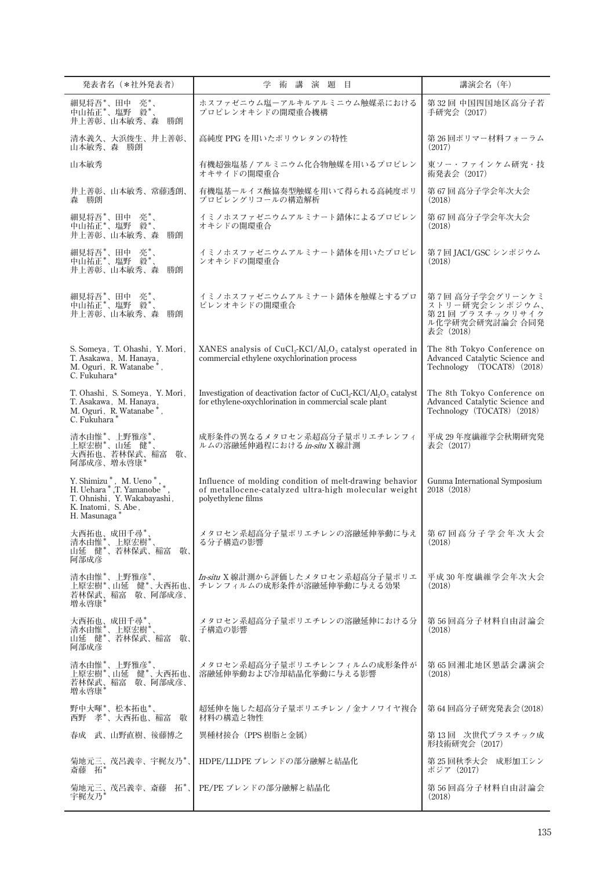| 発表者名 (*社外発表者)                                                                                                                                           | 学<br>術講演題目                                                                                                                                                       | 講演会名 (年)                                                                                    |
|---------------------------------------------------------------------------------------------------------------------------------------------------------|------------------------------------------------------------------------------------------------------------------------------------------------------------------|---------------------------------------------------------------------------------------------|
| 細見将吾*、田中 亮*、<br>中山祐正*、塩野 毅*、<br>井上善彰、山本敏秀、森<br>勝朗                                                                                                       | ホスファゼニウム塩ーアルキルアルミニウム触媒系における<br>プロピレンオキシドの開環重合機構                                                                                                                  | 第32回 中国四国地区高分子若<br>手研究会 (2017)                                                              |
| 清水義久、大浜俊生、井上善彰、<br>山本敏秀、森 勝朗                                                                                                                            | 高純度 PPG を用いたポリウレタンの特性                                                                                                                                            | 第26回ポリマー材料フォーラム<br>(2017)                                                                   |
| 山本敏秀                                                                                                                                                    | 有機超強塩基 / アルミニウム化合物触媒を用いるプロピレン<br>オキサイドの開環重合                                                                                                                      | 東ソー・ファインケム研究・技<br>術発表会 (2017)                                                               |
| 井上善彰、山本敏秀、常藤透朗、<br>森 勝朗                                                                                                                                 | 有機塩基ールイス酸協奏型触媒を用いて得られる高純度ポリ<br>プロピレングリコールの構造解析                                                                                                                   | 第67回 高分子学会年次大会<br>(2018)                                                                    |
| 細見将吾*、田中 亮*、<br>中山祐正*、塩野 毅*、<br>井上善彰、山本敏秀、森<br>勝朗                                                                                                       | イミノホスファゼニウムアルミナート錯体によるプロピレン<br>オキシドの開環重合                                                                                                                         | 第67回 高分子学会年次大会<br>(2018)                                                                    |
| 細見将吾*、田中 亮*、<br>中山祐正*、塩野 毅*、<br>井上善彰、山本敏秀、森<br>勝朗                                                                                                       | イミノホスファゼニウムアルミナート錯体を用いたプロピレ<br>ンオキシドの開環重合                                                                                                                        | 第7回 JACI/GSC シンポジウム<br>(2018)                                                               |
| 細見将吾*、田中 亮*、<br>中山祐正*、塩野 毅*、<br>井上善彰、山本敏秀、森<br>勝朗                                                                                                       | イミノホスファゼニウムアルミナート錯体を触媒とするプロ<br>ピレンオキシドの開環重合                                                                                                                      | 第7回 高分子学会グリーンケミ<br>ストリー研究会シンポジウム、<br>第21回 プラスチックリサイク<br>ル化学研究会研究討論会 合同発<br>表会 (2018)        |
| S. Someya, T. Ohashi, Y. Mori,<br>T. Asakawa, M. Hanaya,<br>M. Oguri, R. Watanabe <sup>*</sup> ,<br>C. Fukuhara*                                        | XANES analysis of $CuCl2-KCl/Al2O3$ catalyst operated in<br>commercial ethylene oxychlorination process                                                          | The 8th Tokyo Conference on<br>Advanced Catalytic Science and<br>Technology (TOCAT8) (2018) |
| T. Ohashi, S. Someya, Y. Mori,<br>T. Asakawa, M. Hanaya,<br>M. Oguri, R. Watanabe <sup>*</sup> ,<br>C. Fukuhara*                                        | Investigation of deactivation factor of CuCl <sub>2</sub> -KCl/Al <sub>2</sub> O <sub>3</sub> catalyst<br>for ethylene-oxychlorination in commercial scale plant | The 8th Tokyo Conference on<br>Advanced Catalytic Science and<br>Technology (TOCAT8) (2018) |
| 清水由惟*、上野雅彦*、<br>上原宏樹*、山延健*、<br>大西拓也、若林保武、稲富<br>敬、<br>阿部成彦、増永啓康*                                                                                         | 成形条件の異なるメタロセン系超高分子量ポリエチレンフィ<br>ルムの溶融延伸過程における in-situ X 線計測                                                                                                       | 平成 29年度繊維学会秋期研究発<br>表会 (2017)                                                               |
| $\it{Y. Shimizu}^*$ , $\it{M. Ueno}^*$ , $\it{H. Uehara}^*$ ,<br>T. Yamanobe $^*$<br>T. Ohnishi, Y. Wakabayashi,<br>K. Inatomi, S. Abe,<br>H. Masunaga* | Influence of molding condition of melt-drawing behavior<br>of metallocene-catalyzed ultra-high molecular weight<br>polyethylene films                            | Gunma International Symposium<br>2018 (2018)                                                |
| 大西拓也、成田千尋*<br>,清水由惟* 、上原宏樹* 、<br>山延 健* 、若林保武、稲富<br>敬、<br>阿部成彦                                                                                           | メタロセン系超高分子量ポリエチレンの溶融延伸挙動に与え<br>る分子構造の影響                                                                                                                          | 第 67 回高分子学会年次大会<br>(2018)                                                                   |
| 清水由惟*、上野雅彦*、<br>上原宏樹*、山延 健*、大西拓也、<br>若林保武、稲富 敬、阿部成彦、<br>増永啓康*                                                                                           | In-situ X線計測から評価したメタロセン系超高分子量ポリエ<br>チレンフィルムの成形条件が溶融延伸挙動に与える効果                                                                                                    | 平成 30 年度繊維学会年次大会<br>(2018)                                                                  |
| 大西拓也、成田千尋*、<br>清水由惟*、上原宏樹*、<br>山延,健*、若林保武、稲富<br>敬、<br>阿部成彦                                                                                              | メタロセン系超高分子量ポリエチレンの溶融延伸における分<br>子構造の影響                                                                                                                            | 第 56 回高分子材料自由討論会<br>(2018)                                                                  |
| 清水由惟*、上野雅彦*、<br>上原宏樹*、山延 健*、大西拓也、<br>若林保武、稲富 敬、阿部成彦、<br>増永啓康*                                                                                           | メタロセン系超高分子量ポリエチレンフィルムの成形条件が<br>溶融延伸挙動および冷却結晶化挙動に与える影響                                                                                                            | 第65回湘北地区懇話会講演会<br>(2018)                                                                    |
| 野中大暉*、松本拓也*、<br>西野 孝*、大西拓也、稲富 敬                                                                                                                         | 超延伸を施した超高分子量ポリエチレン / 金ナノワイヤ複合<br>材料の構造と物性                                                                                                                        | 第 64 回高分子研究発表会(2018)                                                                        |
| 春成 武、山野直樹、後藤博之                                                                                                                                          | 異種材接合(PPS 樹脂と金属)                                                                                                                                                 | 第 13 回 次世代プラスチック成<br>形技術研究会 (2017)                                                          |
| 菊地元三、茂呂義幸、宇梶友乃*、<br>斎藤 拓                                                                                                                                | HDPE/LLDPE ブレンドの部分融解と結晶化                                                                                                                                         | 第 25 回秋季大会 成形加工シン<br>ポジア (2017)                                                             |
| 菊地元三、茂呂義幸、斎藤 拓*、<br>宇梶友乃*                                                                                                                               | PE/PE ブレンドの部分融解と結晶化                                                                                                                                              | 第 56 回高分子材料自由討論会<br>(2018)                                                                  |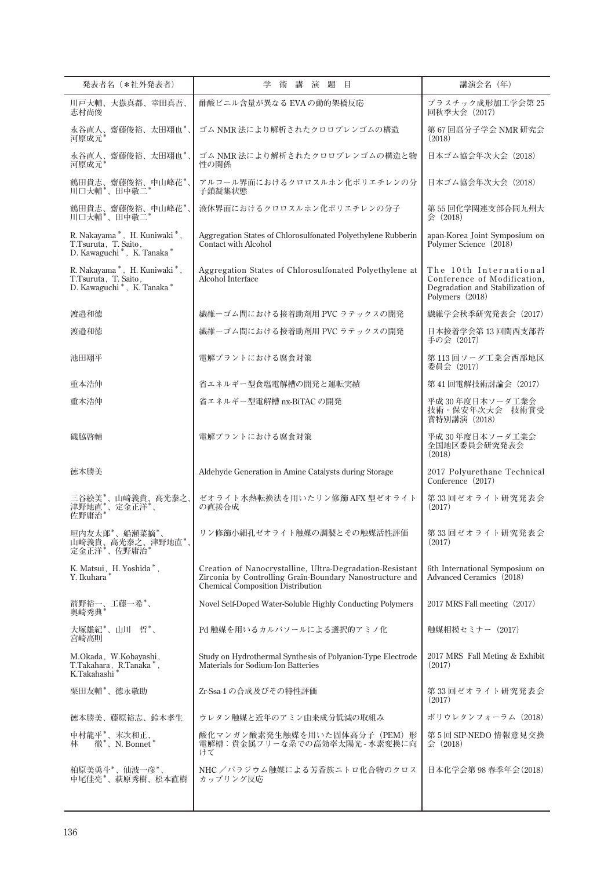| 発表者名 (*社外発表者)                                                                                               | 学<br>講<br>演題目<br>術                                                                                                                                               | 講演会名 (年)                                                                                                     |
|-------------------------------------------------------------------------------------------------------------|------------------------------------------------------------------------------------------------------------------------------------------------------------------|--------------------------------------------------------------------------------------------------------------|
| 川戸大輔、大嶽真都、幸田真吾、<br>志村尚俊                                                                                     | 酢酸ビニル含量が異なる EVA の動的架橋反応                                                                                                                                          | プラスチック成形加工学会第25<br>回秋季大会 (2017)                                                                              |
| 永谷直人、齋藤俊裕、太田翔也*、<br>河原成元*                                                                                   | ゴム NMR 法により解析されたクロロプレンゴムの構造                                                                                                                                      | 第 67 回高分子学会 NMR 研究会<br>(2018)                                                                                |
| 永谷直人、齋藤俊裕、太田翔也*、<br>河原成元'                                                                                   | ゴム NMR 法により解析されたクロロプレンゴムの構造と物<br>性の関係                                                                                                                            | 日本ゴム協会年次大会 (2018)                                                                                            |
| 鶴田貴志、齋藤俊裕、中山峰花*、<br>川口大輔*、田中敬二                                                                              | アルコール界面におけるクロロスルホン化ポリエチレンの分<br>子鎖凝集状態                                                                                                                            | 日本ゴム協会年次大会 (2018)                                                                                            |
| 鶴田貴志、齋藤俊裕、中山峰花*、<br>川口大輔*、田中敬二*                                                                             | 液体界面におけるクロロスルホン化ポリエチレンの分子                                                                                                                                        | 第 55 回化学関連支部合同九州大<br>会 (2018)                                                                                |
| R. Nakayama*, H. Kuniwaki*,<br>T.Tsuruta, T. Saito,<br>D. Kawaguchi*, K. Tanaka*                            | Aggregation States of Chlorosulfonated Polyethylene Rubberin<br><b>Contact with Alcohol</b>                                                                      | apan-Korea Joint Symposium on<br>Polymer Science (2018)                                                      |
| R. Nakayama *, H. Kuniwaki *,<br>T.Tsuruta, T. Saito,<br>D. Kawaguchi <sup>*</sup> , K. Tanaka <sup>*</sup> | Aggregation States of Chlorosulfonated Polyethylene at<br>Alcohol Interface                                                                                      | The 10th International<br>Conference of Modification,<br>Degradation and Stabilization of<br>Polymers (2018) |
| 渡邉和徳                                                                                                        | 繊維-ゴム間における接着助剤用 PVC ラテックスの開発                                                                                                                                     | 繊維学会秋季研究発表会 (2017)                                                                                           |
| 渡邉和徳                                                                                                        | 繊維-ゴム間における接着助剤用 PVC ラテックスの開発                                                                                                                                     | 日本接着学会第13回関西支部若<br>手の会(2017)                                                                                 |
| 池田翔平                                                                                                        | 電解プラントにおける腐食対策                                                                                                                                                   | 第113回ソーダ工業会西部地区<br>委員会 (2017)                                                                                |
| 重本浩伸                                                                                                        | 省エネルギー型食塩電解槽の開発と運転実績                                                                                                                                             | 第41回電解技術討論会 (2017)                                                                                           |
| 重本浩伸                                                                                                        | 省エネルギー型電解槽 nx-BiTAC の開発                                                                                                                                          | 平成 30 年度日本ソーダ工業会<br>技術・保安年次大会 技術賞受<br>賞特別講演 (2018)                                                           |
| 磯脇啓輔                                                                                                        | 電解プラントにおける腐食対策                                                                                                                                                   | 平成 30年度日本ソーダ工業会<br>全国地区委員会研究発表会<br>(2018)                                                                    |
| 徳本勝美                                                                                                        | Aldehyde Generation in Amine Catalysts during Storage                                                                                                            | 2017 Polyurethane Technical<br>Conference (2017)                                                             |
| 三谷絵美*、山﨑義貴、高光泰之、<br>津野地直*、定金正洋*、<br>佐野庸治*                                                                   | ゼオライト水熱転換法を用いたリン修飾 AFX 型ゼオライト<br>の直接合成                                                                                                                           | 第33回ゼオライト研究発表会<br>(2017)                                                                                     |
| 垣内友太郎*、船瀬菜摘*<br>山﨑義貴、高光泰之、津野地直*、<br>定金正洋*、佐野庸治*                                                             | リン修飾小細孔ゼオライト触媒の調製とその触媒活性評価                                                                                                                                       | 第 33 回ゼオライト研究発表会<br>(2017)                                                                                   |
| K. Matsui, H. Yoshida *,<br>Y. Ikuhara*                                                                     | Creation of Nanocrystalline, Ultra-Degradation-Resistant<br>Zirconia by Controlling Grain-Boundary Nanostructure and<br><b>Chemical Composition Distribution</b> | 6th International Symposium on<br>Advanced Ceramics (2018)                                                   |
| 箭野裕一、工藤一希*、<br>奥崎秀典*                                                                                        | Novel Self-Doped Water-Soluble Highly Conducting Polymers                                                                                                        | 2017 MRS Fall meeting (2017)                                                                                 |
| 大塚雄紀*、山川 哲*、<br>宮崎高則                                                                                        | Pd 触媒を用いるカルバソールによる選択的アミノ化                                                                                                                                        | 触媒相模セミナー(2017)                                                                                               |
| M.Okada, W.Kobayashi,<br>T.Takahara, R.Tanaka <sup>*</sup> ,<br>K.Takahashi*                                | Study on Hydrothermal Synthesis of Polyanion-Type Electrode<br>Materials for Sodium-Ion Batteries                                                                | 2017 MRS Fall Meting & Exhibit<br>(2017)                                                                     |
| 栗田友輔*、徳永敬助                                                                                                  | Zr-Ssa-1 の合成及びその特性評価                                                                                                                                             | 第 33 回ゼオライト研究発表会<br>(2017)                                                                                   |
| 徳本勝美、藤原裕志、鈴木孝生                                                                                              | ウレタン触媒と近年のアミン由来成分低減の取組み                                                                                                                                          | ポリウレタンフォーラム(2018)                                                                                            |
| 中村龍平*、末次和正、<br>林 徹*、N. Bonnet*                                                                              | 酸化マンガン酸素発生触媒を用いた固体高分子(PEM)形<br>電解槽:貴金属フリーな系での高効率太陽光 - 水素変換に向<br>けて                                                                                               | 第5回 SIP-NEDO 情報意見交換<br>会 (2018)                                                                              |
| 柏原美勇斗*、仙波一彦*、<br>中尾佳亮*、萩原秀樹、松本直樹                                                                            | NHC /パラジウム触媒による芳香族ニトロ化合物のクロス<br>カップリング反応                                                                                                                         | 日本化学会第98春季年会(2018)                                                                                           |
|                                                                                                             |                                                                                                                                                                  |                                                                                                              |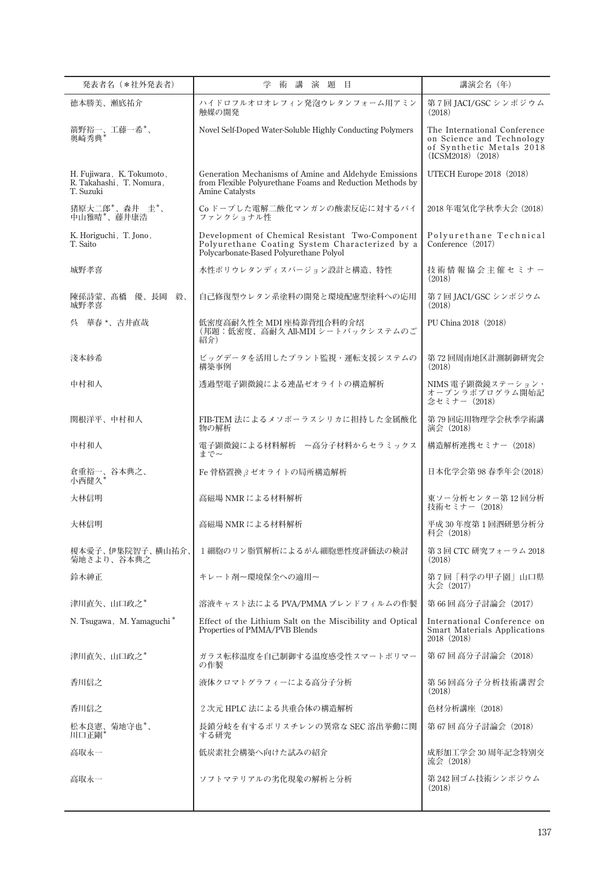| 発表者名 (*社外発表者)                                                      | 学<br>講演題目<br>術                                                                                                                               | 講演会名 (年)                                                                                                       |
|--------------------------------------------------------------------|----------------------------------------------------------------------------------------------------------------------------------------------|----------------------------------------------------------------------------------------------------------------|
| 徳本勝美、瀬底祐介                                                          | ハイドロフルオロオレフィン発泡ウレタンフォーム用アミン<br>触媒の開発                                                                                                         | 第7回 JACI/GSC シンポジウム<br>(2018)                                                                                  |
| 箭野裕一、工藤一希*、<br>奥崎秀典*                                               | Novel Self-Doped Water-Soluble Highly Conducting Polymers                                                                                    | The International Conference<br>on Science and Technology<br>of Synthetic Metals 2018<br>$(ICSM2018)$ $(2018)$ |
| H. Fujiwara, K. Tokumoto,<br>R. Takahashi, T. Nomura,<br>T. Suzuki | Generation Mechanisms of Amine and Aldehyde Emissions<br>from Flexible Polyurethane Foams and Reduction Methods by<br>Amine Catalysts        | UTECH Europe $2018$ (2018)                                                                                     |
| 猪原大二郎*、森井 圭*、<br>中山雅晴*、藤井康浩                                        | Co ドープした電解二酸化マンガンの酸素反応に対するバイ<br>ファンクショナル性                                                                                                    | 2018年電気化学秋季大会 (2018)                                                                                           |
| K. Horiguchi, T. Jono,<br>T. Saito                                 | Development of Chemical Resistant Two-Component<br>Polyurethane Coating System Characterized by a<br>Polycarbonate-Based Polyurethane Polyol | Polyurethane Technical<br>Conference (2017)                                                                    |
| 城野孝喜                                                               | 水性ポリウレタンディスパージョン設計と構造、特性                                                                                                                     | 技術情報協会主催セミナー<br>(2018)                                                                                         |
| 陳孫詩蒙、髙橋 優、長岡 毅、<br>城野孝喜                                            | 自己修復型ウレタン系塗料の開発と環境配慮型塗料への応用                                                                                                                  | 第7回 JACI/GSC シンポジウム<br>(2018)                                                                                  |
| 呉 華春 *、吉井直哉                                                        | 低密度高耐久性全 MDI 座椅靠背组合料的介绍<br>(邦題:低密度、高耐久 All-MDI シートバックシステムのご<br>紹介)                                                                           | PU China 2018 (2018)                                                                                           |
| 淺本紗希                                                               | ビッグデータを活用したプラント監視・運転支援システムの<br>構築事例                                                                                                          | 第 72 回周南地区計測制御研究会<br>(2018)                                                                                    |
| 中村和人                                                               | 透過型電子顕微鏡による連晶ゼオライトの構造解析                                                                                                                      | NIMS 電子顕微鏡ステーション・<br>オープンラボプログラム開始記<br>念セミナー (2018)                                                            |
| 関根洋平、中村和人                                                          | FIB-TEM 法によるメソポーラスシリカに担持した金属酸化<br>物の解析                                                                                                       | 第79回応用物理学会秋季学術講<br>演会 (2018)                                                                                   |
| 中村和人                                                               | 電子顕微鏡による材料解析 ~高分子材料からセラミックス<br>まで~                                                                                                           | 構造解析連携セミナー (2018)                                                                                              |
| 倉重裕一、谷本典之、<br>小西健久"                                                | Fe 骨格置換 β ゼオライトの局所構造解析                                                                                                                       | 日本化学会第98春季年会(2018)                                                                                             |
| 大林信明                                                               | 高磁場 NMR による材料解析                                                                                                                              | 東ソー分析センター第12回分析<br>技術セミナー (2018)                                                                               |
| 大林信明                                                               | 高磁場 NMR による材料解析                                                                                                                              | 平成 30年度第1回泗研懇分析分<br>科会 (2018)                                                                                  |
| 榎本愛子、伊集院智子、横山祐介、<br>菊地さより、谷本典之                                     | 1 細胞のリン脂質解析によるがん細胞悪性度評価法の検討                                                                                                                  | 第3回 CTC 研究フォーラム 2018<br>(2018)                                                                                 |
| 鈴木紳正                                                               | キレート剤ー環境保全への適用ー                                                                                                                              | 第7回「科学の甲子園」山口県<br>大会 (2017)                                                                                    |
| 津川直矢、山口政之*                                                         | 溶液キャスト法による PVA/PMMA ブレンドフィルムの作製                                                                                                              | 第 66 回 高分子討論会(2017)                                                                                            |
| N. Tsugawa, M. Yamaguchi*                                          | Effect of the Lithium Salt on the Miscibility and Optical<br>Properties of PMMA/PVB Blends                                                   | International Conference on<br><b>Smart Materials Applications</b><br>2018 (2018)                              |
| 津川直矢、山口政之*                                                         | ガラス転移温度を自己制御する温度感受性スマートポリマー<br>の作製                                                                                                           | 第 67回 高分子討論会 (2018)                                                                                            |
| 香川信之                                                               | 液体クロマトグラフィーによる高分子分析                                                                                                                          | 第56回高分子分析技術講習会<br>(2018)                                                                                       |
| 香川信之                                                               | 2次元 HPLC 法による共重合体の構造解析                                                                                                                       | 色材分析講座 (2018)                                                                                                  |
| 松本良憲、菊地守也*、<br>川口正剛*                                               | 長鎖分岐を有するポリスチレンの異常な SEC 溶出挙動に関<br>する研究                                                                                                        | 第 67回 高分子討論会 (2018)                                                                                            |
| 高取永一                                                               | 低炭素社会構築へ向けた試みの紹介                                                                                                                             | 成形加工学会 30 周年記念特別交<br>流会 (2018)                                                                                 |
| 高取永一                                                               | ソフトマテリアルの劣化現象の解析と分析                                                                                                                          | 第 242 回ゴム技術シンポジウム<br>(2018)                                                                                    |
|                                                                    |                                                                                                                                              |                                                                                                                |